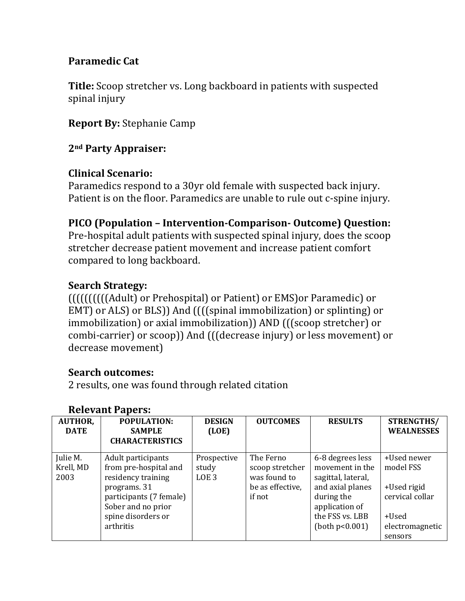## **Paramedic Cat**

**Title:** Scoop stretcher vs. Long backboard in patients with suspected spinal injury

**Report By:** Stephanie Camp

### **2nd Party Appraiser:**

### **Clinical Scenario:**

Paramedics respond to a 30yr old female with suspected back injury. Patient is on the floor. Paramedics are unable to rule out c-spine injury.

### **PICO (Population – InterventionComparison Outcome) Question:**

Pre‐hospital adult patients with suspected spinal injury, does the scoop stretcher decrease patient movement and increase patient comfort compared to long backboard.

### **Search Strategy:**

((((((((((Adult) or Prehospital) or Patient) or EMS)or Paramedic) or EMT) or ALS) or BLS)) And ((((spinal immobilization) or splinting) or immobilization) or axial immobilization)) AND (((scoop stretcher) or combi‐carrier) or scoop)) And (((decrease injury) or less movement) or decrease movement)

## **Search outcomes:**

2 results, one was found through related citation

| <b>AUTHOR,</b><br><b>DATE</b> | POPULATION:<br><b>SAMPLE</b><br><b>CHARACTERISTICS</b>                                                                                                                | <b>DESIGN</b><br>(LOE)                   | <b>OUTCOMES</b>                                                            | <b>RESULTS</b>                                                                                                                                        | STRENGTHS/<br><b>WEALNESSES</b>                                                                   |
|-------------------------------|-----------------------------------------------------------------------------------------------------------------------------------------------------------------------|------------------------------------------|----------------------------------------------------------------------------|-------------------------------------------------------------------------------------------------------------------------------------------------------|---------------------------------------------------------------------------------------------------|
| Julie M.<br>Krell, MD<br>2003 | Adult participants<br>from pre-hospital and<br>residency training<br>programs. 31<br>participants (7 female)<br>Sober and no prior<br>spine disorders or<br>arthritis | Prospective<br>study<br>LOE <sub>3</sub> | The Ferno<br>scoop stretcher<br>was found to<br>be as effective,<br>if not | 6-8 degrees less<br>movement in the<br>sagittal, lateral,<br>and axial planes<br>during the<br>application of<br>the FSS vs. LBB<br>(both $p<0.001$ ) | +Used newer<br>model FSS<br>+Used rigid<br>cervical collar<br>+Used<br>electromagnetic<br>sensors |

#### **Relevant Papers:**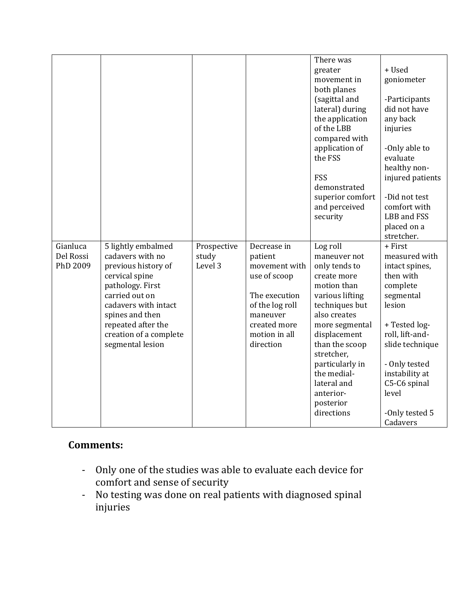|           |                        |             |                             | There was                      |                            |
|-----------|------------------------|-------------|-----------------------------|--------------------------------|----------------------------|
|           |                        |             |                             | greater                        | + Used                     |
|           |                        |             |                             | movement in                    | goniometer                 |
|           |                        |             |                             | both planes                    |                            |
|           |                        |             |                             | (sagittal and                  | -Participants              |
|           |                        |             |                             | lateral) during                | did not have               |
|           |                        |             |                             | the application                | any back                   |
|           |                        |             |                             | of the LBB                     |                            |
|           |                        |             |                             |                                | injuries                   |
|           |                        |             |                             | compared with                  |                            |
|           |                        |             |                             | application of                 | -Only able to              |
|           |                        |             |                             | the FSS                        | evaluate                   |
|           |                        |             |                             |                                | healthy non-               |
|           |                        |             |                             | FSS                            | injured patients           |
|           |                        |             |                             | demonstrated                   |                            |
|           |                        |             |                             | superior comfort               | -Did not test              |
|           |                        |             |                             | and perceived                  | comfort with               |
|           |                        |             |                             | security                       | LBB and FSS                |
|           |                        |             |                             |                                | placed on a                |
|           |                        |             |                             |                                | stretcher.                 |
| Gianluca  | 5 lightly embalmed     | Prospective | Decrease in                 | Log roll                       | + First                    |
| Del Rossi | cadavers with no       | study       | patient                     | maneuver not                   | measured with              |
|           | previous history of    |             |                             |                                |                            |
| PhD 2009  |                        | Level 3     | movement with               | only tends to                  | intact spines,             |
|           | cervical spine         |             | use of scoop                | create more                    | then with                  |
|           | pathology. First       |             |                             | motion than                    | complete                   |
|           | carried out on         |             | The execution               |                                |                            |
|           | cadavers with intact   |             |                             | various lifting                | segmental<br>lesion        |
|           |                        |             | of the log roll<br>maneuver | techniques but<br>also creates |                            |
|           | spines and then        |             | created more                |                                |                            |
|           | repeated after the     |             |                             | more segmental                 | + Tested log-              |
|           | creation of a complete |             | motion in all               | displacement                   | roll, lift-and-            |
|           | segmental lesion       |             | direction                   | than the scoop                 | slide technique            |
|           |                        |             |                             | stretcher,                     |                            |
|           |                        |             |                             | particularly in                | - Only tested              |
|           |                        |             |                             | the medial-                    | instability at             |
|           |                        |             |                             | lateral and                    | C5-C6 spinal               |
|           |                        |             |                             | anterior-                      | level                      |
|           |                        |             |                             | posterior                      |                            |
|           |                        |             |                             | directions                     | -Only tested 5<br>Cadavers |

## **Comments:**

- ‐ Only one of the studies was able to evaluate each device for comfort and sense of security
- ‐ No testing was done on real patients with diagnosed spinal injuries